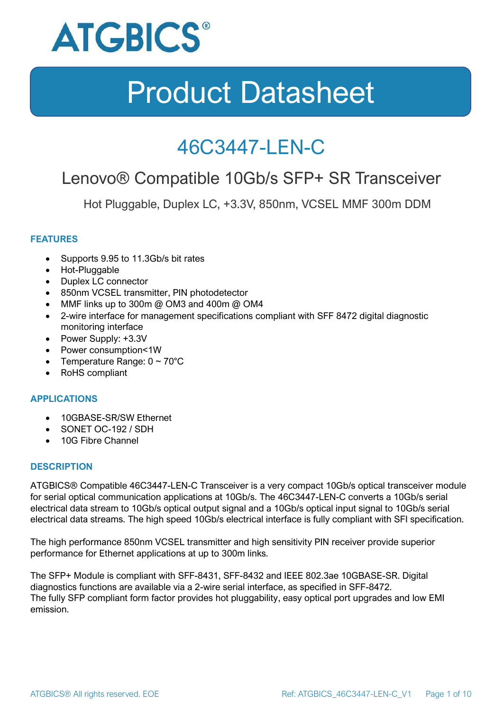

### 46C3447-LEN-C

### Lenovo® Compatible 10Gb/s SFP+ SR Transceiver

Hot Pluggable, Duplex LC, +3.3V, 850nm, VCSEL MMF 300m DDM

#### **FEATURES**

- Supports 9.95 to 11.3Gb/s bit rates
- Hot-Pluggable
- Duplex LC connector
- 850nm VCSEL transmitter, PIN photodetector
- MMF links up to 300m @ OM3 and 400m @ OM4
- 2-wire interface for management specifications compliant with SFF 8472 digital diagnostic monitoring interface
- Power Supply: +3.3V
- Power consumption<1W
- Temperature Range:  $0 \sim 70^{\circ}$ C
- RoHS compliant

#### **APPLICATIONS**

- 10GBASE-SR/SW Ethernet
- SONET OC-192 / SDH
- 10G Fibre Channel

#### **DESCRIPTION**

ATGBICS® Compatible 46C3447-LEN-C Transceiver is a very compact 10Gb/s optical transceiver module for serial optical communication applications at 10Gb/s. The 46C3447-LEN-C converts a 10Gb/s serial electrical data stream to 10Gb/s optical output signal and a 10Gb/s optical input signal to 10Gb/s serial electrical data streams. The high speed 10Gb/s electrical interface is fully compliant with SFI specification.

The high performance 850nm VCSEL transmitter and high sensitivity PIN receiver provide superior performance for Ethernet applications at up to 300m links.

The SFP+ Module is compliant with SFF-8431, SFF-8432 and IEEE 802.3ae 10GBASE-SR. Digital diagnostics functions are available via a 2-wire serial interface, as specified in SFF-8472. The fully SFP compliant form factor provides hot pluggability, easy optical port upgrades and low EMI emission.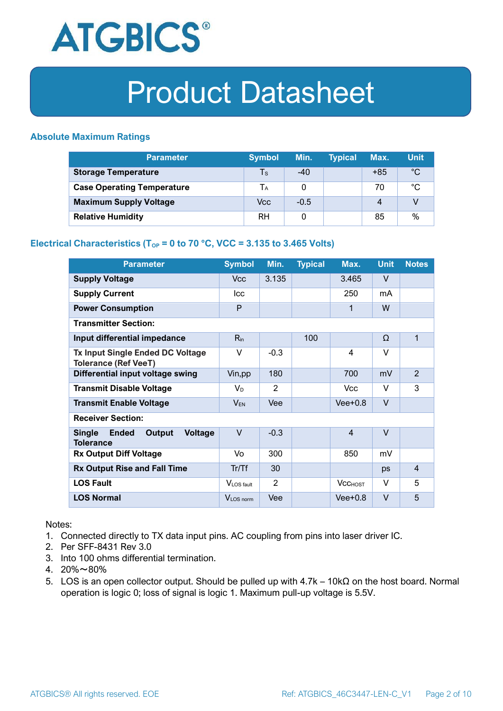

#### **Absolute Maximum Ratings**

| <b>Parameter</b>                  | <b>Symbol</b> | Min.   | <b>Typical</b> | Max.  | <b>Unit</b> |
|-----------------------------------|---------------|--------|----------------|-------|-------------|
| <b>Storage Temperature</b>        | $\mathsf{Ts}$ | $-40$  |                | $+85$ | $^{\circ}C$ |
| <b>Case Operating Temperature</b> | Tа            |        |                | 70    | °C          |
| <b>Maximum Supply Voltage</b>     | Vcc           | $-0.5$ |                | 4     |             |
| <b>Relative Humidity</b>          | <b>RH</b>     |        |                | 85    | %           |

#### **Electrical Characteristics (T<sub>OP</sub> = 0 to 70 °C, VCC = 3.135 to 3.465 Volts)**

| <b>Parameter</b>                                                              | <b>Symbol</b>         | Min.   | <b>Typical</b> | Max.           | <b>Unit</b> | <b>Notes</b>   |
|-------------------------------------------------------------------------------|-----------------------|--------|----------------|----------------|-------------|----------------|
| <b>Supply Voltage</b>                                                         | V <sub>cc</sub>       | 3.135  |                | 3.465          | $\vee$      |                |
| <b>Supply Current</b>                                                         | <b>Icc</b>            |        |                | 250            | mA          |                |
| <b>Power Consumption</b>                                                      | P                     |        |                | 1              | W           |                |
| <b>Transmitter Section:</b>                                                   |                       |        |                |                |             |                |
| Input differential impedance                                                  | $R_{in}$              |        | 100            |                | Ω           | 1              |
| <b>Tx Input Single Ended DC Voltage</b><br><b>Tolerance (Ref VeeT)</b>        | $\vee$                | $-0.3$ |                | $\overline{4}$ | $\vee$      |                |
| Differential input voltage swing                                              | Vin, pp               | 180    |                | 700            | mV          | $\overline{2}$ |
| <b>Transmit Disable Voltage</b>                                               | $V_D$                 | 2      |                | <b>Vcc</b>     | $\vee$      | 3              |
| <b>Transmit Enable Voltage</b>                                                | $V_{EN}$              | Vee    |                | $Vee+0.8$      | $\vee$      |                |
| <b>Receiver Section:</b>                                                      |                       |        |                |                |             |                |
| <b>Single</b><br><b>Ended</b><br>Output<br><b>Voltage</b><br><b>Tolerance</b> | $\vee$                | $-0.3$ |                | $\overline{4}$ | $\vee$      |                |
| <b>Rx Output Diff Voltage</b>                                                 | Vo                    | 300    |                | 850            | mV          |                |
| <b>Rx Output Rise and Fall Time</b>                                           | Tr/Tf                 | 30     |                |                | ps          | $\overline{4}$ |
| <b>LOS Fault</b>                                                              | VLOS fault            | 2      |                | <b>VCCHOST</b> | V           | 5              |
| <b>LOS Normal</b>                                                             | V <sub>LOS</sub> norm | Vee    |                | $Vee+0.8$      | $\vee$      | 5              |

Notes:

- 1. Connected directly to TX data input pins. AC coupling from pins into laser driver IC.
- 2. Per SFF-8431 Rev 3.0
- 3. Into 100 ohms differential termination.
- 4. 20%~80%
- 5. LOS is an open collector output. Should be pulled up with 4.7k 10kΩ on the host board. Normal operation is logic 0; loss of signal is logic 1. Maximum pull-up voltage is 5.5V.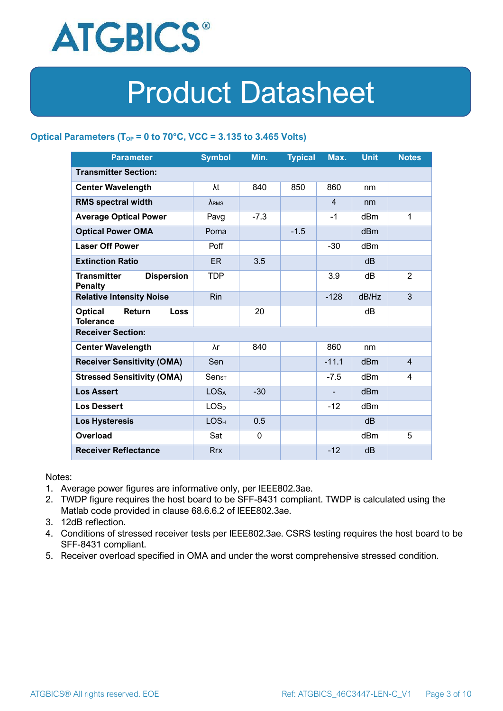

#### **Optical Parameters** ( $T_{OP} = 0$  to 70°C, VCC = 3.135 to 3.465 Volts)

| <b>Parameter</b>                                          | <b>Symbol</b>    | Min.        | <b>Typical</b> | Max.           | <b>Unit</b>     | <b>Notes</b>   |  |
|-----------------------------------------------------------|------------------|-------------|----------------|----------------|-----------------|----------------|--|
| <b>Transmitter Section:</b>                               |                  |             |                |                |                 |                |  |
| <b>Center Wavelength</b>                                  | λt               | 840         | 850            | 860            | nm              |                |  |
| <b>RMS spectral width</b>                                 | $\lambda_{RMS}$  |             |                | $\overline{4}$ | nm              |                |  |
| <b>Average Optical Power</b>                              | Pavg             | $-7.3$      |                | $-1$           | dBm             | 1              |  |
| <b>Optical Power OMA</b>                                  | Poma             |             | $-1.5$         |                | dBm             |                |  |
| <b>Laser Off Power</b>                                    | Poff             |             |                | $-30$          | dBm             |                |  |
| <b>Extinction Ratio</b>                                   | <b>ER</b>        | 3.5         |                |                | dB              |                |  |
| <b>Transmitter</b><br><b>Dispersion</b><br><b>Penalty</b> | <b>TDP</b>       |             |                | 3.9            | dB              | 2              |  |
| <b>Relative Intensity Noise</b>                           | Rin              |             |                | $-128$         | dB/Hz           | 3              |  |
| <b>Optical</b><br>Return<br>Loss<br><b>Tolerance</b>      |                  | 20          |                |                | dB              |                |  |
| <b>Receiver Section:</b>                                  |                  |             |                |                |                 |                |  |
| <b>Center Wavelength</b>                                  | λr               | 840         |                | 860            | nm              |                |  |
| <b>Receiver Sensitivity (OMA)</b>                         | Sen              |             |                | $-11.1$        | dB <sub>m</sub> | $\overline{4}$ |  |
| <b>Stressed Sensitivity (OMA)</b>                         | $Sens_T$         |             |                | $-7.5$         | dBm             | 4              |  |
| <b>Los Assert</b>                                         | <b>LOSA</b>      | $-30$       |                |                | dBm             |                |  |
| <b>Los Dessert</b>                                        | LOS <sub>D</sub> |             |                | $-12$          | dBm             |                |  |
| <b>Los Hysteresis</b>                                     | LOS <sub>H</sub> | 0.5         |                |                | dB              |                |  |
| <b>Overload</b>                                           | Sat              | $\mathbf 0$ |                |                | dBm             | 5              |  |
| <b>Receiver Reflectance</b>                               | <b>Rrx</b>       |             |                | $-12$          | dB              |                |  |

Notes:

- 1. Average power figures are informative only, per IEEE802.3ae.
- 2. TWDP figure requires the host board to be SFF-8431 compliant. TWDP is calculated using the Matlab code provided in clause 68.6.6.2 of IEEE802.3ae.
- 3. 12dB reflection.
- 4. Conditions of stressed receiver tests per IEEE802.3ae. CSRS testing requires the host board to be SFF-8431 compliant.
- 5. Receiver overload specified in OMA and under the worst comprehensive stressed condition.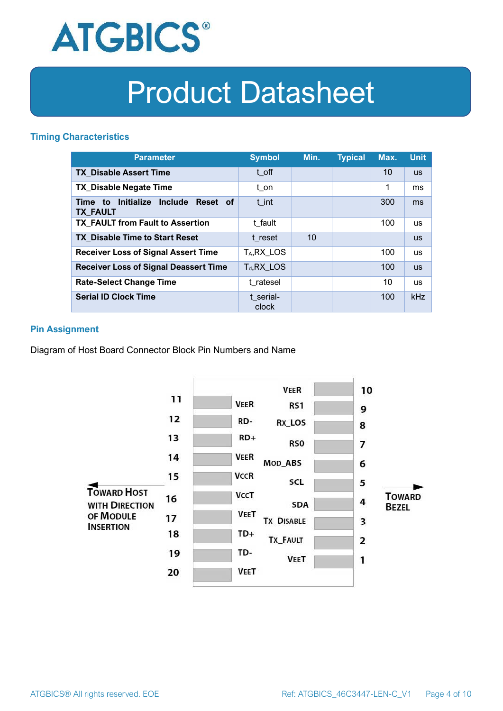

#### **Timing Characteristics**

| <b>Parameter</b>                                             | <b>Symbol</b>           | Min. | <b>Typical</b> | Max. | <b>Unit</b> |
|--------------------------------------------------------------|-------------------------|------|----------------|------|-------------|
| <b>TX Disable Assert Time</b>                                | t off                   |      |                | 10   | <b>US</b>   |
| <b>TX_Disable Negate Time</b>                                | t_on                    |      |                | 1    | ms          |
| Initialize Include<br>Reset of<br>Time to<br><b>TX FAULT</b> | t int                   |      |                | 300  | ms          |
| <b>TX FAULT from Fault to Assertion</b>                      | t fault                 |      |                | 100  | <b>us</b>   |
| <b>TX Disable Time to Start Reset</b>                        | t reset                 | 10   |                |      | <b>us</b>   |
| <b>Receiver Loss of Signal Assert Time</b>                   | T <sub>A</sub> , RX_LOS |      |                | 100  | <b>us</b>   |
| <b>Receiver Loss of Signal Deassert Time</b>                 | $T_d, RX$ LOS           |      |                | 100  | <b>US</b>   |
| <b>Rate-Select Change Time</b>                               | t ratesel               |      |                | 10   | <b>us</b>   |
| <b>Serial ID Clock Time</b>                                  | t serial-<br>clock      |      |                | 100  | <b>kHz</b>  |

#### **Pin Assignment**

Diagram of Host Board Connector Block Pin Numbers and Name

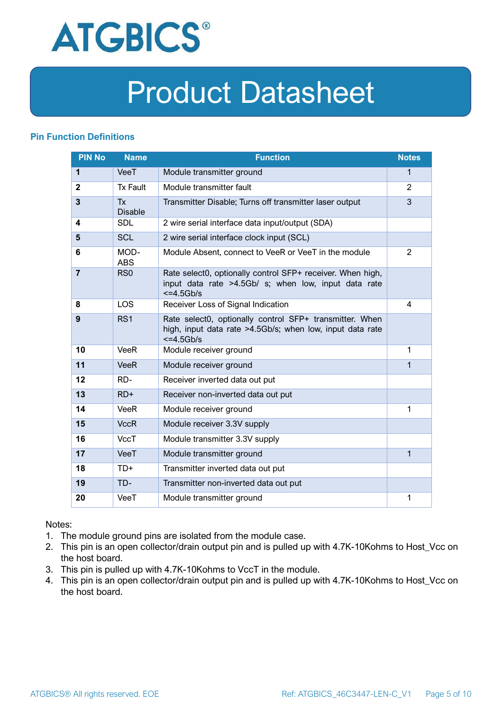

#### **Pin Function Definitions**

| <b>PIN No</b>  | <b>Name</b>                 | <b>Function</b>                                                                                                                     | <b>Notes</b>   |
|----------------|-----------------------------|-------------------------------------------------------------------------------------------------------------------------------------|----------------|
| 1              | VeeT                        | Module transmitter ground                                                                                                           | $\mathbf 1$    |
| $\mathbf{2}$   | <b>Tx Fault</b>             | Module transmitter fault                                                                                                            | 2              |
| $\overline{3}$ | <b>Tx</b><br><b>Disable</b> | Transmitter Disable; Turns off transmitter laser output                                                                             | 3              |
| 4              | <b>SDL</b>                  | 2 wire serial interface data input/output (SDA)                                                                                     |                |
| $5\phantom{1}$ | <b>SCL</b>                  | 2 wire serial interface clock input (SCL)                                                                                           |                |
| 6              | MOD-<br><b>ABS</b>          | Module Absent, connect to VeeR or VeeT in the module                                                                                | $\overline{2}$ |
| $\overline{7}$ | RS <sub>0</sub>             | Rate select0, optionally control SFP+ receiver. When high,<br>input data rate >4.5Gb/ s; when low, input data rate<br>$<=4.5Gb/s$   |                |
| 8              | <b>LOS</b>                  | Receiver Loss of Signal Indication                                                                                                  | 4              |
| 9              | RS <sub>1</sub>             | Rate select0, optionally control SFP+ transmitter. When<br>high, input data rate >4.5Gb/s; when low, input data rate<br>$<=4.5Gb/s$ |                |
| 10             | VeeR                        | Module receiver ground                                                                                                              | 1              |
| 11             | <b>VeeR</b>                 | Module receiver ground                                                                                                              | 1              |
| 12             | RD-                         | Receiver inverted data out put                                                                                                      |                |
| 13             | $RD+$                       | Receiver non-inverted data out put                                                                                                  |                |
| 14             | <b>VeeR</b>                 | Module receiver ground                                                                                                              | 1              |
| 15             | <b>VccR</b>                 | Module receiver 3.3V supply                                                                                                         |                |
| 16             | <b>VccT</b>                 | Module transmitter 3.3V supply                                                                                                      |                |
| 17             | VeeT                        | Module transmitter ground                                                                                                           | $\mathbf{1}$   |
| 18             | TD+                         | Transmitter inverted data out put                                                                                                   |                |
| 19             | TD-                         | Transmitter non-inverted data out put                                                                                               |                |
| 20             | VeeT                        | Module transmitter ground                                                                                                           | 1              |

Notes:

- 1. The module ground pins are isolated from the module case.
- 2. This pin is an open collector/drain output pin and is pulled up with 4.7K-10Kohms to Host\_Vcc on the host board.
- 3. This pin is pulled up with 4.7K-10Kohms to VccT in the module.
- 4. This pin is an open collector/drain output pin and is pulled up with 4.7K-10Kohms to Host Vcc on the host board.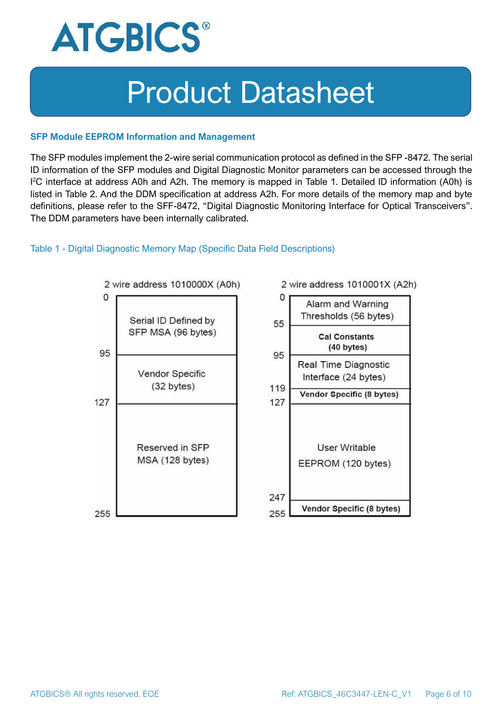

#### **SFP Module EEPROM Information and Management**

The SFP modules implement the 2-wire serial communication protocol as defined in the SFP -8472. The serial ID information of the SFP modules and Digital Diagnostic Monitor parameters can be accessed through the I <sup>2</sup>C interface at address A0h and A2h. The memory is mapped in Table 1. Detailed ID information (A0h) is listed in Table 2. And the DDM specification at address A2h. For more details of the memory map and byte definitions, please refer to the SFF-8472, "Digital Diagnostic Monitoring Interface for Optical Transceivers". The DDM parameters have been internally calibrated.

#### Table 1 - Digital Diagnostic Memory Map (Specific Data Field Descriptions)

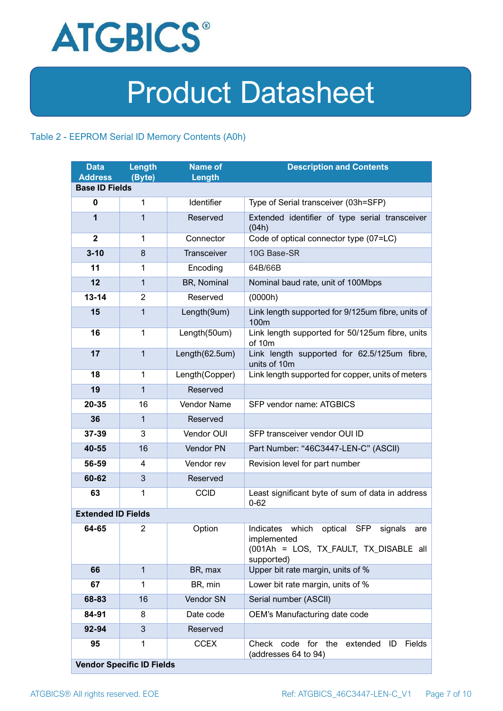

#### Table 2 - EEPROM Serial ID Memory Contents (A0h)

| <b>Data</b><br><b>Address</b> | Length<br>(Byte)                 | <b>Name of</b><br>Length | <b>Description and Contents</b>                                                                                                   |
|-------------------------------|----------------------------------|--------------------------|-----------------------------------------------------------------------------------------------------------------------------------|
| <b>Base ID Fields</b>         |                                  |                          |                                                                                                                                   |
| $\mathbf 0$                   | 1                                | Identifier               | Type of Serial transceiver (03h=SFP)                                                                                              |
| 1                             | $\mathbf{1}$                     | Reserved                 | Extended identifier of type serial transceiver<br>(04h)                                                                           |
| $\mathbf{2}$                  | 1                                | Connector                | Code of optical connector type (07=LC)                                                                                            |
| $3 - 10$                      | 8                                | Transceiver              | 10G Base-SR                                                                                                                       |
| 11                            | 1                                | Encoding                 | 64B/66B                                                                                                                           |
| 12                            | $\mathbf{1}$                     | BR, Nominal              | Nominal baud rate, unit of 100Mbps                                                                                                |
| $13 - 14$                     | 2                                | Reserved                 | (0000h)                                                                                                                           |
| 15                            | $\mathbf{1}$                     | Length(9um)              | Link length supported for 9/125um fibre, units of<br>100 <sub>m</sub>                                                             |
| 16                            | $\mathbf 1$                      | Length(50um)             | Link length supported for 50/125um fibre, units<br>of 10m                                                                         |
| 17                            | $\mathbf{1}$                     | Length(62.5um)           | Link length supported for 62.5/125um fibre,<br>units of 10m                                                                       |
| 18                            | $\mathbf{1}$                     | Length(Copper)           | Link length supported for copper, units of meters                                                                                 |
| 19                            | $\mathbf{1}$                     | Reserved                 |                                                                                                                                   |
| 20-35                         | 16                               | <b>Vendor Name</b>       | SFP vendor name: ATGBICS                                                                                                          |
| 36                            | $\mathbf{1}$                     | Reserved                 |                                                                                                                                   |
| 37-39                         | 3                                | Vendor OUI               | SFP transceiver vendor OUI ID                                                                                                     |
| 40-55                         | 16                               | Vendor PN                | Part Number: "46C3447-LEN-C" (ASCII)                                                                                              |
| 56-59                         | 4                                | Vendor rev               | Revision level for part number                                                                                                    |
| 60-62                         | 3                                | Reserved                 |                                                                                                                                   |
| 63                            | 1                                | <b>CCID</b>              | Least significant byte of sum of data in address<br>$0 - 62$                                                                      |
| <b>Extended ID Fields</b>     |                                  |                          |                                                                                                                                   |
| 64-65                         | $\overline{2}$                   | Option                   | Indicates which<br>optical<br><b>SFP</b><br>signals<br>are<br>implemented<br>(001Ah = LOS, TX_FAULT, TX_DISABLE all<br>supported) |
| 66                            | $\mathbf{1}$                     | BR, max                  | Upper bit rate margin, units of %                                                                                                 |
| 67                            | 1                                | BR, min                  | Lower bit rate margin, units of %                                                                                                 |
| 68-83                         | 16                               | Vendor SN                | Serial number (ASCII)                                                                                                             |
| 84-91                         | 8                                | Date code                | OEM's Manufacturing date code                                                                                                     |
| 92-94                         | 3                                | Reserved                 |                                                                                                                                   |
| 95                            | 1                                | <b>CCEX</b>              | code for the<br>Fields<br>Check<br>extended<br>ID<br>(addresses 64 to 94)                                                         |
|                               | <b>Vendor Specific ID Fields</b> |                          |                                                                                                                                   |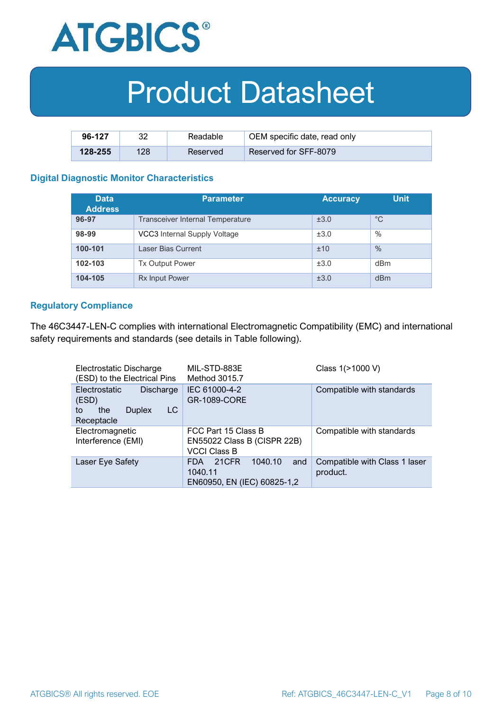

| 96-127      | າາ  | Readable | OEM specific date, read only |
|-------------|-----|----------|------------------------------|
| $128 - 255$ | 128 | Reserved | Reserved for SFF-8079        |

#### **Digital Diagnostic Monitor Characteristics**

| <b>Data</b><br><b>Address</b> | <b>Parameter</b>                        | <b>Accuracy</b> | Unit          |
|-------------------------------|-----------------------------------------|-----------------|---------------|
| 96-97                         | <b>Transceiver Internal Temperature</b> | ±3.0            | $^{\circ}C$   |
| 98-99                         | VCC3 Internal Supply Voltage            | ±3.0            | %             |
| 100-101                       | Laser Bias Current                      | ±10             | $\frac{0}{0}$ |
| 102-103                       | <b>Tx Output Power</b>                  | ±3.0            | dBm           |
| 104-105                       | <b>Rx Input Power</b>                   | ±3.0            | dBm           |

#### **Regulatory Compliance**

The 46C3447-LEN-C complies with international Electromagnetic Compatibility (EMC) and international safety requirements and standards (see details in Table following).

| Electrostatic Discharge<br>(ESD) to the Electrical Pins                               | MIL-STD-883E<br>Method 3015.7                                             | Class 1(>1000 V)                          |
|---------------------------------------------------------------------------------------|---------------------------------------------------------------------------|-------------------------------------------|
| Electrostatic<br>Discharge<br>(ESD)<br>LC<br>the<br><b>Duplex</b><br>to<br>Receptacle | IEC 61000-4-2<br><b>GR-1089-CORE</b>                                      | Compatible with standards                 |
| Electromagnetic<br>Interference (EMI)                                                 | FCC Part 15 Class B<br>EN55022 Class B (CISPR 22B)<br><b>VCCI Class B</b> | Compatible with standards                 |
| Laser Eye Safety                                                                      | 1040.10<br>21CFR<br>and<br>FDA.<br>1040.11<br>EN60950, EN (IEC) 60825-1,2 | Compatible with Class 1 laser<br>product. |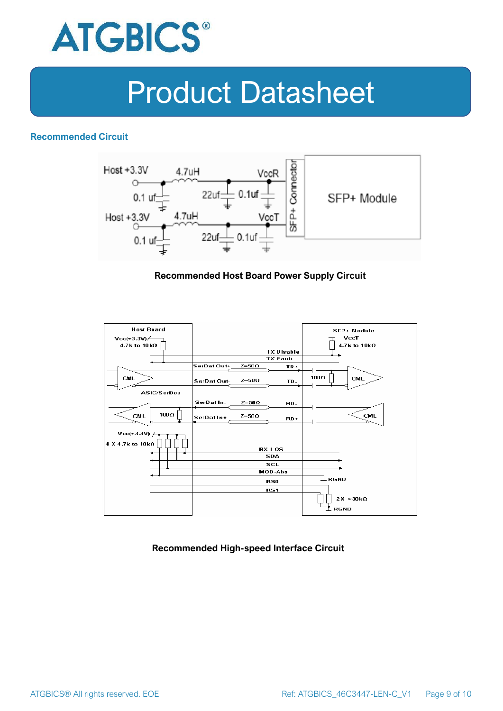

#### **Recommended Circuit**



#### **Recommended Host Board Power Supply Circuit**



**Recommended High-speed Interface Circuit**